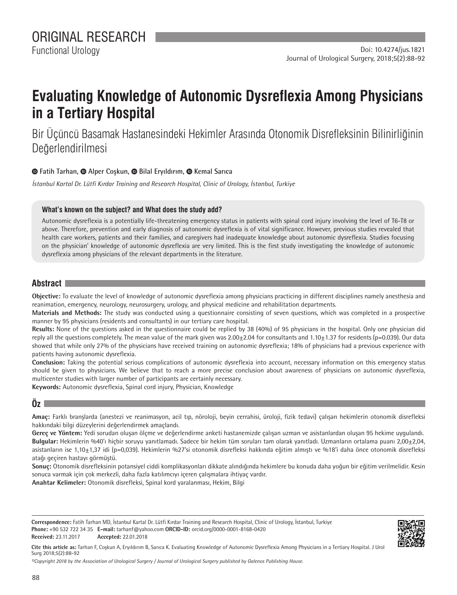# **Evaluating Knowledge of Autonomic Dysreflexia Among Physicians in a Tertiary Hospital**

Bir Üçüncü Basamak Hastanesindeki Hekimler Arasında Otonomik Disrefleksinin Bilinirliğinin Değerlendirilmesi

#### $\bullet$ **Fatih Tarhan,**  $\bullet$  **Alper Coşkun,**  $\bullet$  **Bilal Eryıldırım,**  $\bullet$  **Kemal Sarıca**

*İstanbul Kartal Dr. Lütfi Kırdar Training and Research Hospital, Clinic of Urology, İstanbul, Turkiye*

#### **What's known on the subject? and What does the study add?**

Autonomic dysreflexia is a potentially life-threatening emergency status in patients with spinal cord injury involving the level of T6-T8 or above. Therefore, prevention and early diagnosis of autonomic dysreflexia is of vital significance. However, previous studies revealed that health care workers, patients and their families, and caregivers had inadequate knowledge about autonomic dysreflexia. Studies focusing on the physician' knowledge of autonomic dysreflexia are very limited. This is the first study investigating the knowledge of autonomic dysreflexia among physicians of the relevant departments in the literature.

### **Abstract**

**Objective:** To evaluate the level of knowledge of autonomic dysreflexia among physicians practicing in different disciplines namely anesthesia and reanimation, emergency, neurology, neurosurgery, urology, and physical medicine and rehabilitation departments.

**Materials and Methods:** The study was conducted using a questionnaire consisting of seven questions, which was completed in a prospective manner by 95 physicians (residents and consultants) in our tertiary care hospital.

**Results:** None of the questions asked in the questionnaire could be replied by 38 (40%) of 95 physicians in the hospital. Only one physician did reply all the questions completely. The mean value of the mark given was  $2.00\pm2.04$  for consultants and  $1.10\pm1.37$  for residents (p=0.039). Our data showed that while only 27% of the physicians have received training on autonomic dysreflexia; 18% of physicians had a previous experience with patients having autonomic dysreflexia.

**Conclusion:** Taking the potential serious complications of autonomic dysreflexia into account, necessary information on this emergency status should be given to physicians. We believe that to reach a more precise conclusion about awareness of physicians on autonomic dysreflexia, multicenter studies with larger number of participants are certainly necessary.

**Keywords:** Autonomic dysreflexia, Spinal cord injury, Physician, Knowledge

## **Öz**

**Amaç:** Farklı branşlarda (anestezi ve reanimasyon, acil tıp, nöroloji, beyin cerrahisi, üroloji, fizik tedavi) çalışan hekimlerin otonomik disrefleksi hakkındaki bilgi düzeylerini değerlendirmek amaçlandı.

**Gereç ve Yöntem:** Yedi sorudan oluşan ölçme ve değerlendirme anketi hastanemizde çalışan uzman ve asistanlardan oluşan 95 hekime uygulandı. **Bulgular:** Hekimlerin %40'ı hiçbir soruyu yanıtlamadı. Sadece bir hekim tüm soruları tam olarak yanıtladı. Uzmanların ortalama puanı 2,00±2,04, asistanların ise 1,10±1,37 idi (p=0,039). Hekimlerin %27'si otonomik disrefleksi hakkında eğitim almıştı ve %18'i daha önce otonomik disrefleksi atağı geçiren hastayı görmüştü.

**Sonuç:** Otonomik disrefleksinin potansiyel ciddi komplikasyonları dikkate alındığında hekimlere bu konuda daha yoğun bir eğitim verilmelidir. Kesin sonuca varmak için çok merkezli, daha fazla katılımcıyı içeren çalışmalara ihtiyaç vardır.

**Anahtar Kelimeler:** Otonomik disrefleksi, Spinal kord yaralanması, Hekim, Bilgi

**Correspondence:** Fatih Tarhan MD, İstanbul Kartal Dr. Lütfi Kırdar Training and Research Hospital, Clinic of Urology, İstanbul, Turkiye **Phone:** +90 532 722 34 35 **E-mail:** tarhanf@yahoo.com **ORCID-ID:** orcid.org/0000-0001-8168-0420 **Received:** 23.11.2017 **Accepted:** 22.01.2018



**Cite this article as:** Tarhan F, Coşkun A, Eryıldırım B, Sarıca K. Evaluating Knowledge of Autonomic Dysreflexia Among Physicians in a Tertiary Hospital. J Urol Surg 2018;5(2):88-92

*©Copyright 2018 by the Association of Urological Surgery / Journal of Urological Surgery published by Galenos Publishing House.*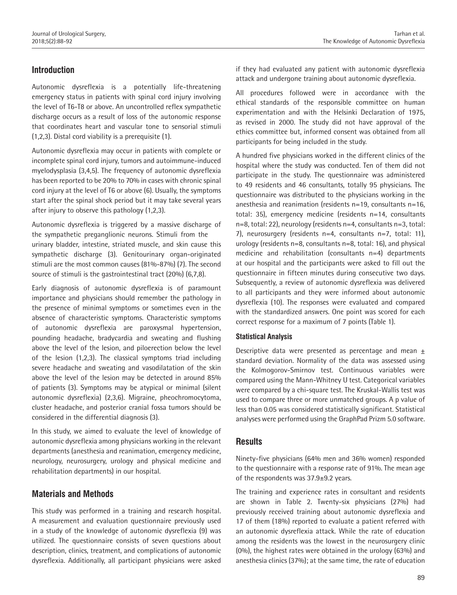## **Introduction**

Autonomic dysreflexia is a potentially life-threatening emergency status in patients with spinal cord injury involving the level of T6-T8 or above. An uncontrolled reflex sympathetic discharge occurs as a result of loss of the autonomic response that coordinates heart and vascular tone to sensorial stimuli (1,2,3). Distal cord viability is a prerequisite (1).

Autonomic dysreflexia may occur in patients with complete or incomplete spinal cord injury, tumors and autoimmune-induced myelodysplasia (3,4,5). The frequency of autonomic dysreflexia has been reported to be 20% to 70% in cases with chronic spinal cord injury at the level of T6 or above (6). Usually, the symptoms start after the spinal shock period but it may take several years after injury to observe this pathology (1,2,3).

Autonomic dysreflexia is triggered by a massive discharge of the sympathetic preganglionic neurons. Stimuli from the urinary bladder, intestine, striated muscle, and skin cause this sympathetic discharge (3). Genitourinary organ-originated stimuli are the most common causes (81%-87%) (7). The second source of stimuli is the gastrointestinal tract (20%) (6,7,8).

Early diagnosis of autonomic dysreflexia is of paramount importance and physicians should remember the pathology in the presence of minimal symptoms or sometimes even in the absence of characteristic symptoms. Characteristic symptoms of autonomic dysreflexia are paroxysmal hypertension, pounding headache, bradycardia and sweating and flushing above the level of the lesion, and piloerection below the level of the lesion (1,2,3). The classical symptoms triad including severe headache and sweating and vasodilatation of the skin above the level of the lesion may be detected in around 85% of patients (3). Symptoms may be atypical or minimal (silent autonomic dysreflexia) (2,3,6). Migraine, pheochromocytoma, cluster headache, and posterior cranial fossa tumors should be considered in the differential diagnosis (3).

In this study, we aimed to evaluate the level of knowledge of autonomic dysreflexia among physicians working in the relevant departments (anesthesia and reanimation, emergency medicine, neurology, neurosurgery, urology and physical medicine and rehabilitation departments) in our hospital.

## **Materials and Methods**

This study was performed in a training and research hospital. A measurement and evaluation questionnaire previously used in a study of the knowledge of autonomic dysreflexia (9) was utilized. The questionnaire consists of seven questions about description, clinics, treatment, and complications of autonomic dysreflexia. Additionally, all participant physicians were asked

if they had evaluated any patient with autonomic dysreflexia attack and undergone training about autonomic dysreflexia.

All procedures followed were in accordance with the ethical standards of the responsible committee on human experimentation and with the Helsinki Declaration of 1975, as revised in 2000. The study did not have approval of the ethics committee but, informed consent was obtained from all participants for being included in the study.

A hundred five physicians worked in the different clinics of the hospital where the study was conducted. Ten of them did not participate in the study. The questionnaire was administered to 49 residents and 46 consultants, totally 95 physicians. The questionnaire was distributed to the physicians working in the anesthesia and reanimation (residents n=19, consultants n=16, total: 35), emergency medicine (residents n=14, consultants n=8, total: 22), neurology (residents n=4, consultants n=3, total: 7), neurosurgery (residents n=4, consultants n=7, total: 11), urology (residents n=8, consultants n=8, total: 16), and physical medicine and rehabilitation (consultants n=4) departments at our hospital and the participants were asked to fill out the questionnaire in fifteen minutes during consecutive two days. Subsequently, a review of autonomic dysreflexia was delivered to all participants and they were informed about autonomic dysreflexia (10). The responses were evaluated and compared with the standardized answers. One point was scored for each correct response for a maximum of 7 points (Table 1).

#### **Statistical Analysis**

Descriptive data were presented as percentage and mean  $\pm$ standard deviation. Normality of the data was assessed using the Kolmogorov-Smirnov test. Continuous variables were compared using the Mann-Whitney U test. Categorical variables were compared by a chi-square test. The Kruskal-Wallis test was used to compare three or more unmatched groups. A p value of less than 0.05 was considered statistically significant. Statistical analyses were performed using the GraphPad Prizm 5.0 software.

## **Results**

Ninety-five physicians (64% men and 36% women) responded to the questionnaire with a response rate of 91%. The mean age of the respondents was 37.9±9.2 years.

The training and experience rates in consultant and residents are shown in Table 2. Twenty-six physicians (27%) had previously received training about autonomic dysreflexia and 17 of them (18%) reported to evaluate a patient referred with an autonomic dysreflexia attack. While the rate of education among the residents was the lowest in the neurosurgery clinic (0%), the highest rates were obtained in the urology (63%) and anesthesia clinics (37%); at the same time, the rate of education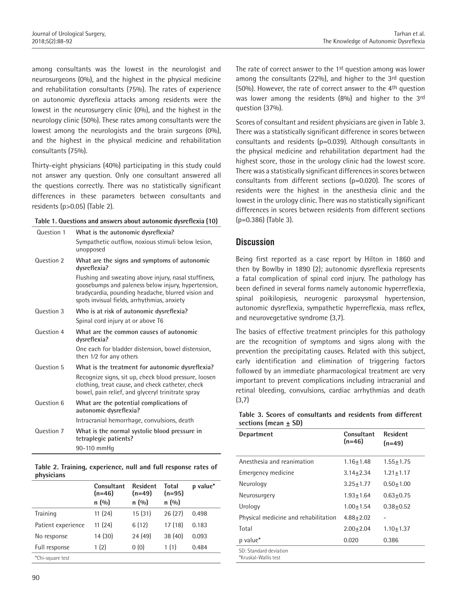among consultants was the lowest in the neurologist and neurosurgeons (0%), and the highest in the physical medicine and rehabilitation consultants (75%). The rates of experience on autonomic dysreflexia attacks among residents were the lowest in the neurosurgery clinic (0%), and the highest in the neurology clinic (50%). These rates among consultants were the lowest among the neurologists and the brain surgeons (0%), and the highest in the physical medicine and rehabilitation consultants (75%).

Thirty-eight physicians (40%) participating in this study could not answer any question. Only one consultant answered all the questions correctly. There was no statistically significant differences in these parameters between consultants and residents (p>0.05) (Table 2).

| Table 1. Questions and answers about autonomic dysreflexia (10) |
|-----------------------------------------------------------------|
|-----------------------------------------------------------------|

| Question 1 | What is the autonomic dysreflexia?                                                                                                                                                                                |
|------------|-------------------------------------------------------------------------------------------------------------------------------------------------------------------------------------------------------------------|
|            | Sympathetic outflow, noxious stimuli below lesion,<br>unopposed                                                                                                                                                   |
| Question 2 | What are the signs and symptoms of autonomic<br>dysreflexia?                                                                                                                                                      |
|            | Flushing and sweating above injury, nasal stuffiness,<br>goosebumps and paleness below injury, hypertension,<br>bradycardia, pounding headache, blurred vision and<br>spots invisual fields, arrhythmias, anxiety |
| Question 3 | Who is at risk of autonomic dysreflexia?                                                                                                                                                                          |
|            | Spinal cord injury at or above T6                                                                                                                                                                                 |
| Question 4 | What are the common causes of autonomic<br>dysreflexia?                                                                                                                                                           |
|            | One each for bladder distension, bowel distension,<br>then 1/2 for any others                                                                                                                                     |
| Question 5 | What is the treatment for autonomic dysreflexia?                                                                                                                                                                  |
|            | Recognize signs, sit up, check blood pressure, loosen<br>clothing, treat cause, and check catheter, check<br>bowel, pain relief, and glyceryl trinitrate spray                                                    |
| Question 6 | What are the potential complications of<br>autonomic dysreflexia?                                                                                                                                                 |
|            | Intracranial hemorrhage, convulsions, death                                                                                                                                                                       |
| Question 7 | What is the normal systolic blood pressure in<br>tetraplegic patients?                                                                                                                                            |
|            | 90-110 mmHq                                                                                                                                                                                                       |

| Table 2. Training, experience, null and full response rates of |  |  |  |
|----------------------------------------------------------------|--|--|--|
| physicians                                                     |  |  |  |

|                    | Consultant<br>$(n=46)$<br>n(90) | <b>Resident</b><br>$(n=49)$<br>n(0/0) | Total<br>$(n=95)$<br>n(90) | p value* |
|--------------------|---------------------------------|---------------------------------------|----------------------------|----------|
| Training           | 11(24)                          | 15(31)                                | 26(27)                     | 0.498    |
| Patient experience | 11(24)                          | 6(12)                                 | 17(18)                     | 0.183    |
| No response        | 14 (30)                         | 24(49)                                | 38(40)                     | 0.093    |
| Full response      | 1(2)                            | 0(0)                                  | 1(1)                       | 0.484    |
| *Chi-square test   |                                 |                                       |                            |          |

The rate of correct answer to the 1st question among was lower among the consultants (22%), and higher to the 3rd question (50%). However, the rate of correct answer to the 4th question was lower among the residents (8%) and higher to the 3rd question (37%).

Scores of consultant and resident physicians are given in Table 3. There was a statistically significant difference in scores between consultants and residents (p=0.039). Although consultants in the physical medicine and rehabilitation department had the highest score, those in the urology clinic had the lowest score. There was a statistically significant differences in scores between consultants from different sections (p=0.020). The scores of residents were the highest in the anesthesia clinic and the lowest in the urology clinic. There was no statistically significant differences in scores between residents from different sections (p=0.386) (Table 3).

## **Discussion**

Being first reported as a case report by Hilton in 1860 and then by Bowlby in 1890 (2); autonomic dysreflexia represents a fatal complication of spinal cord injury. The pathology has been defined in several forms namely autonomic hyperreflexia, spinal poikilopiesis, neurogenic paroxysmal hypertension, autonomic dysreflexia, sympathetic hyperreflexia, mass reflex, and neurovegetative syndrome (3,7).

The basics of effective treatment principles for this pathology are the recognition of symptoms and signs along with the prevention the precipitating causes. Related with this subject, early identification and elimination of triggering factors followed by an immediate pharmacological treatment are very important to prevent complications including intracranial and retinal bleeding, convulsions, cardiac arrhythmias and death (3,7)

|                        |  | Table 3. Scores of consultants and residents from different |  |  |
|------------------------|--|-------------------------------------------------------------|--|--|
| sections (mean $+$ SD) |  |                                                             |  |  |

| <b>Department</b>                              | <b>Consultant</b><br>$(n=46)$ | <b>Resident</b><br>$(n=49)$ |
|------------------------------------------------|-------------------------------|-----------------------------|
| Anesthesia and reanimation                     | $1.16 + 1.48$                 | $1.55 + 1.75$               |
| Emergency medicine                             | $3.14 + 2.34$                 | $1.21 + 1.17$               |
| Neurology                                      | $3.25 + 1.77$                 | $0.50 + 1.00$               |
| Neurosurgery                                   | $1.93 + 1.64$                 | $0.63 + 0.75$               |
| Urology                                        | $1.00 + 1.54$                 | $0.38 + 0.52$               |
| Physical medicine and rehabilitation           | $4.88 + 2.02$                 |                             |
| Total                                          | $2.00 + 2.04$                 | $1.10 + 1.37$               |
| p value*                                       | 0.020                         | 0.386                       |
| SD: Standard deviation<br>*Kruskal-Wallis test |                               |                             |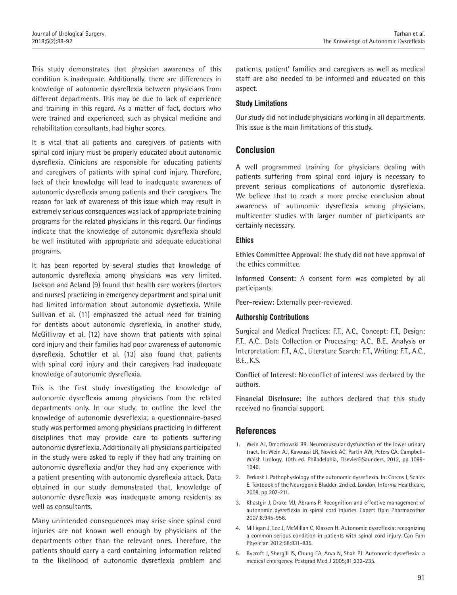This study demonstrates that physician awareness of this condition is inadequate. Additionally, there are differences in knowledge of autonomic dysreflexia between physicians from different departments. This may be due to lack of experience and training in this regard. As a matter of fact, doctors who were trained and experienced, such as physical medicine and rehabilitation consultants, had higher scores.

It is vital that all patients and caregivers of patients with spinal cord injury must be properly educated about autonomic dysreflexia. Clinicians are responsible for educating patients and caregivers of patients with spinal cord injury. Therefore, lack of their knowledge will lead to inadequate awareness of autonomic dysreflexia among patients and their caregivers. The reason for lack of awareness of this issue which may result in extremely serious consequences was lack of appropriate training programs for the related physicians in this regard. Our findings indicate that the knowledge of autonomic dysreflexia should be well instituted with appropriate and adequate educational programs.

It has been reported by several studies that knowledge of autonomic dysreflexia among physicians was very limited. Jackson and Acland (9) found that health care workers (doctors and nurses) practicing in emergency department and spinal unit had limited information about autonomic dysreflexia. While Sullivan et al. (11) emphasized the actual need for training for dentists about autonomic dysreflexia, in another study, McGillivray et al. (12) have shown that patients with spinal cord injury and their families had poor awareness of autonomic dysreflexia. Schottler et al. (13) also found that patients with spinal cord injury and their caregivers had inadequate knowledge of autonomic dysreflexia.

This is the first study investigating the knowledge of autonomic dysreflexia among physicians from the related departments only. In our study, to outline the level the knowledge of autonomic dysreflexia; a questionnaire-based study was performed among physicians practicing in different disciplines that may provide care to patients suffering autonomic dysreflexia. Additionally all physicians participated in the study were asked to reply if they had any training on autonomic dysreflexia and/or they had any experience with a patient presenting with autonomic dysreflexia attack. Data obtained in our study demonstrated that, knowledge of autonomic dysreflexia was inadequate among residents as well as consultants.

Many unintended consequences may arise since spinal cord injuries are not known well enough by physicians of the departments other than the relevant ones. Therefore, the patients should carry a card containing information related to the likelihood of autonomic dysreflexia problem and

patients, patient' families and caregivers as well as medical staff are also needed to be informed and educated on this aspect.

#### **Study Limitations**

Our study did not include physicians working in all departments. This issue is the main limitations of this study.

### **Conclusion**

A well programmed training for physicians dealing with patients suffering from spinal cord injury is necessary to prevent serious complications of autonomic dysreflexia. We believe that to reach a more precise conclusion about awareness of autonomic dysreflexia among physicians, multicenter studies with larger number of participants are certainly necessary.

#### **Ethics**

**Ethics Committee Approval:** The study did not have approval of the ethics committee.

**Informed Consent:** A consent form was completed by all participants.

**Peer-review:** Externally peer-reviewed.

#### **Authorship Contributions**

Surgical and Medical Practices: F.T., A.C., Concept: F.T., Design: F.T., A.C., Data Collection or Processing: A.C., B.E., Analysis or Interpretation: F.T., A.C., Literature Search: F.T., Writing: F.T., A.C., B.E., K.S.

**Conflict of Interest:** No conflict of interest was declared by the authors.

**Financial Disclosure:** The authors declared that this study received no financial support.

## **References**

- 1. Wein AJ, Dmochowski RR. Neuromuscular dysfunction of the lower urinary tract. In: Wein AJ, Kavoussi LR, Novick AC, Partin AW, Peters CA. Campbell-Walsh Urology, 10th ed. Philadelphia, Elsevier&Saunders, 2012, pp 1099- 1946.
- 2. Perkash I. Pathophysiology of the autonomic dysreflexia. In: Corcos J, Schick E. Textbook of the Neurogenic Bladder, 2nd ed. London, Informa Healthcare, 2008, pp 207-211.
- 3. Khastgir J, Drake MJ, Abrams P. Recognition and effective management of autonomic dysreflexia in spinal cord injuries. Expert Opin Pharmacother 2007;8:945-956.
- 4. Milligan J, Lee J, McMillan C, Klassen H. Autonomic dysreflexia: recognizing a common serious condition in patients with spinal cord injury. Can Fam Physician 2012;58:831-835.
- 5. Bycroft J, Shergill IS, Chung EA, Arya N, Shah PJ. Autonomic dysreflexia: a medical emergency. Postgrad Med J 2005;81:232-235.